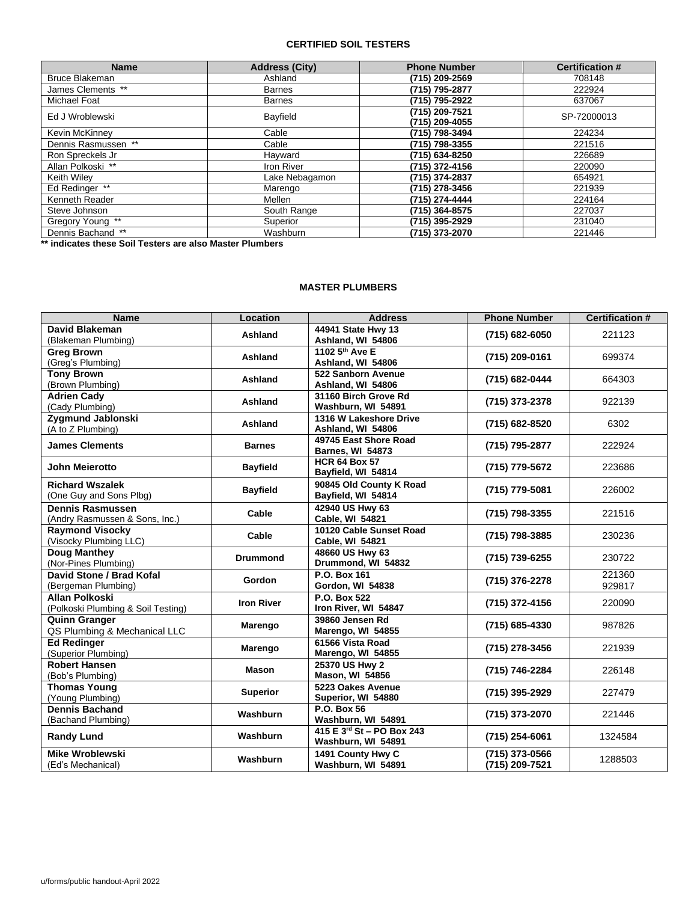#### **CERTIFIED SOIL TESTERS**

| <b>Name</b>         | <b>Address (City)</b> | <b>Phone Number</b>              | <b>Certification #</b> |
|---------------------|-----------------------|----------------------------------|------------------------|
| Bruce Blakeman      | Ashland               | (715) 209-2569                   | 708148                 |
| James Clements **   | <b>Barnes</b>         | (715) 795-2877                   | 222924                 |
| Michael Foat        | <b>Barnes</b>         | (715) 795-2922                   | 637067                 |
| Ed J Wroblewski     | Bayfield              | (715) 209-7521<br>(715) 209-4055 | SP-72000013            |
| Kevin McKinney      | Cable                 | (715) 798-3494                   | 224234                 |
| Dennis Rasmussen ** | Cable                 | (715) 798-3355                   | 221516                 |
| Ron Spreckels Jr    | Hayward               | (715) 634-8250                   | 226689                 |
| Allan Polkoski **   | <b>Iron River</b>     | (715) 372-4156                   | 220090                 |
| Keith Wiley         | Lake Nebagamon        | (715) 374-2837                   | 654921                 |
| Ed Redinger **      | Marengo               | (715) 278-3456                   | 221939                 |
| Kenneth Reader      | Mellen                | (715) 274-4444                   | 224164                 |
| Steve Johnson       | South Range           | (715) 364-8575                   | 227037                 |
| Gregory Young **    | Superior              | (715) 395-2929                   | 231040                 |
| Dennis Bachand **   | Washburn              | (715) 373-2070                   | 221446                 |

**\*\* indicates these Soil Testers are also Master Plumbers**

#### **MASTER PLUMBERS**

| <b>Name</b>                                                 | Location          | <b>Address</b>                                   | <b>Phone Number</b>              | <b>Certification #</b> |
|-------------------------------------------------------------|-------------------|--------------------------------------------------|----------------------------------|------------------------|
| David Blakeman<br>(Blakeman Plumbing)                       | Ashland           | 44941 State Hwy 13<br>Ashland, WI 54806          | (715) 682-6050                   | 221123                 |
| <b>Greg Brown</b><br>(Greg's Plumbing)                      | Ashland           | 1102 5 <sup>th</sup> Ave E<br>Ashland, WI 54806  | (715) 209-0161                   | 699374                 |
| <b>Tony Brown</b><br>(Brown Plumbing)                       | Ashland           | 522 Sanborn Avenue<br>Ashland, WI 54806          | (715) 682-0444                   | 664303                 |
| <b>Adrien Cady</b><br>(Cady Plumbing)                       | Ashland           | 31160 Birch Grove Rd<br>Washburn, WI 54891       | (715) 373-2378                   | 922139                 |
| Zygmund Jablonski<br>(A to Z Plumbing)                      | Ashland           | 1316 W Lakeshore Drive<br>Ashland, WI 54806      | (715) 682-8520                   | 6302                   |
| <b>James Clements</b>                                       | <b>Barnes</b>     | 49745 East Shore Road<br><b>Barnes, WI 54873</b> | (715) 795-2877                   | 222924                 |
| John Meierotto                                              | <b>Bayfield</b>   | <b>HCR 64 Box 57</b><br>Bayfield, WI 54814       | (715) 779-5672                   | 223686                 |
| <b>Richard Wszalek</b><br>(One Guy and Sons Plbg)           | <b>Bayfield</b>   | 90845 Old County K Road<br>Bayfield, WI 54814    | (715) 779-5081                   | 226002                 |
| <b>Dennis Rasmussen</b><br>(Andry Rasmussen & Sons, Inc.)   | Cable             | 42940 US Hwy 63<br>Cable, WI 54821               | (715) 798-3355                   | 221516                 |
| <b>Raymond Visocky</b><br>(Visocky Plumbing LLC)            | Cable             | 10120 Cable Sunset Road<br>Cable, WI 54821       | (715) 798-3885                   | 230236                 |
| <b>Doug Manthey</b><br>(Nor-Pines Plumbing)                 | <b>Drummond</b>   | 48660 US Hwy 63<br>Drummond, WI 54832            | (715) 739-6255                   | 230722                 |
| David Stone / Brad Kofal<br>(Bergeman Plumbing)             | <b>Gordon</b>     | P.O. Box 161<br>Gordon, WI 54838                 | (715) 376-2278                   | 221360<br>929817       |
| <b>Allan Polkoski</b><br>(Polkoski Plumbing & Soil Testing) | <b>Iron River</b> | P.O. Box 522<br>Iron River, WI 54847             | (715) 372-4156                   | 220090                 |
| <b>Quinn Granger</b><br>QS Plumbing & Mechanical LLC        | Marengo           | 39860 Jensen Rd<br>Marengo, WI 54855             | (715) 685-4330                   | 987826                 |
| <b>Ed Redinger</b><br>(Superior Plumbing)                   | Marengo           | 61566 Vista Road<br>Marengo, WI 54855            | (715) 278-3456                   | 221939                 |
| <b>Robert Hansen</b><br>(Bob's Plumbing)                    | Mason             | 25370 US Hwy 2<br><b>Mason, WI 54856</b>         | (715) 746-2284                   | 226148                 |
| <b>Thomas Young</b><br>(Young Plumbing)                     | <b>Superior</b>   | 5223 Oakes Avenue<br>Superior, WI 54880          | (715) 395-2929                   | 227479                 |
| <b>Dennis Bachand</b><br>(Bachand Plumbing)                 | <b>Washburn</b>   | P.O. Box 56<br>Washburn, WI 54891                | (715) 373-2070                   | 221446                 |
| <b>Randy Lund</b>                                           | Washburn          | 415 E 3rd St - PO Box 243<br>Washburn, WI 54891  | (715) 254-6061                   | 1324584                |
| <b>Mike Wroblewski</b><br>(Ed's Mechanical)                 | Washburn          | 1491 County Hwy C<br>Washburn, WI 54891          | (715) 373-0566<br>(715) 209-7521 | 1288503                |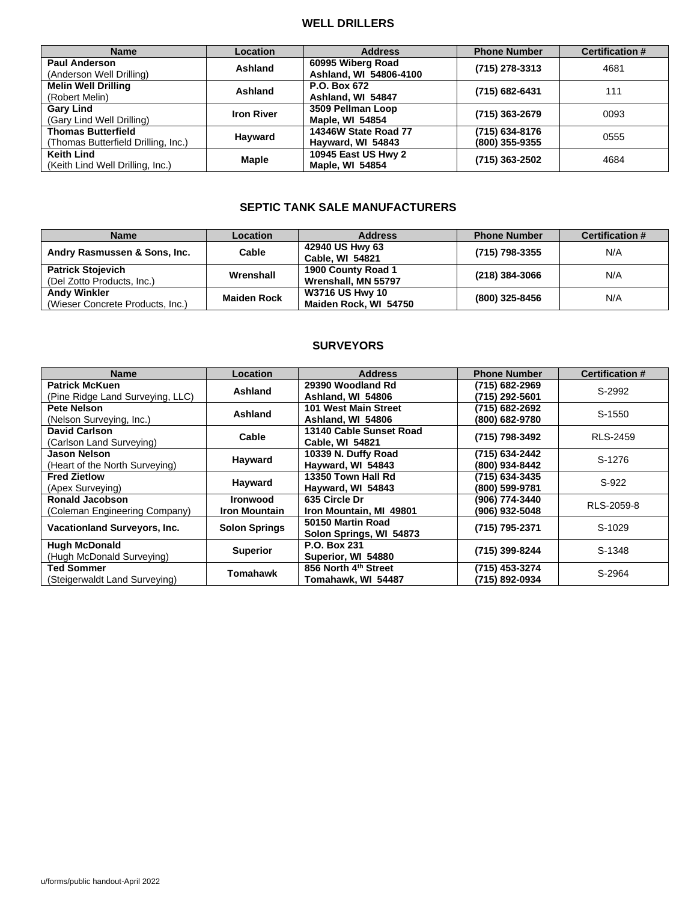# **WELL DRILLERS**

| <b>Name</b>                         | Location          | <b>Address</b>         | <b>Phone Number</b> | <b>Certification #</b> |
|-------------------------------------|-------------------|------------------------|---------------------|------------------------|
| <b>Paul Anderson</b>                | Ashland           | 60995 Wiberg Road      | (715) 278-3313      | 4681                   |
| (Anderson Well Drilling)            |                   | Ashland, WI 54806-4100 |                     |                        |
| <b>Melin Well Drilling</b>          | Ashland           | P.O. Box 672           | (715) 682-6431      | 111                    |
| (Robert Melin)                      |                   | Ashland, WI 54847      |                     |                        |
| <b>Gary Lind</b>                    |                   | 3509 Pellman Loop      |                     |                        |
| (Gary Lind Well Drilling)           | <b>Iron River</b> | <b>Maple, WI 54854</b> | (715) 363-2679      | 0093                   |
| <b>Thomas Butterfield</b>           |                   | 14346W State Road 77   | (715) 634-8176      |                        |
| (Thomas Butterfield Drilling, Inc.) | Hayward           | Hayward, WI 54843      | (800) 355-9355      | 0555                   |
| <b>Keith Lind</b>                   |                   | 10945 East US Hwy 2    |                     | 4684                   |
| (Keith Lind Well Drilling, Inc.)    | <b>Maple</b>      | <b>Maple, WI 54854</b> | (715) 363-2502      |                        |

# **SEPTIC TANK SALE MANUFACTURERS**

| <b>Name</b>                      | <b>Location</b>    | <b>Address</b>         | <b>Phone Number</b> | <b>Certification #</b> |
|----------------------------------|--------------------|------------------------|---------------------|------------------------|
| Andry Rasmussen & Sons, Inc.     | Cable              | 42940 US Hwy 63        | (715) 798-3355      | N/A                    |
|                                  |                    | <b>Cable, WI 54821</b> |                     |                        |
| <b>Patrick Stojevich</b>         | Wrenshall          | 1900 County Road 1     | (218) 384-3066      | N/A                    |
| (Del Zotto Products, Inc.)       |                    | Wrenshall, MN 55797    |                     |                        |
| <b>Andy Winkler</b>              | <b>Maiden Rock</b> | <b>W3716 US Hwy 10</b> |                     | N/A                    |
| (Wieser Concrete Products, Inc.) |                    | Maiden Rock, WI 54750  | (800) 325-8456      |                        |

# **SURVEYORS**

| <b>Name</b>                                          | Location             | <b>Address</b>          | <b>Phone Number</b> | <b>Certification #</b> |
|------------------------------------------------------|----------------------|-------------------------|---------------------|------------------------|
| <b>Patrick McKuen</b>                                | Ashland              | 29390 Woodland Rd       | (715) 682-2969      | S-2992                 |
| (Pine Ridge Land Surveying, LLC)                     |                      | Ashland, WI 54806       | (715) 292-5601      |                        |
| Pete Nelson                                          | Ashland              | 101 West Main Street    | (715) 682-2692      | S-1550                 |
| (Nelson Surveying, Inc.)                             |                      | Ashland, WI 54806       | (800) 682-9780      |                        |
| David Carlson                                        | Cable                | 13140 Cable Sunset Road | (715) 798-3492      | <b>RLS-2459</b>        |
| (Carlson Land Surveying)                             |                      | <b>Cable, WI 54821</b>  |                     |                        |
| Jason Nelson                                         |                      | 10339 N. Duffy Road     | (715) 634-2442      | S-1276                 |
| (Heart of the North Surveying)                       | Hayward              | Hayward, WI 54843       | (800) 934-8442      |                        |
| <b>Fred Zietlow</b>                                  | Hayward              | 13350 Town Hall Rd      | (715) 634-3435      | S-922                  |
| (Apex Surveying)                                     |                      | Hayward, WI 54843       | (800) 599-9781      |                        |
| <b>Ronald Jacobson</b>                               | <b>Ironwood</b>      | 635 Circle Dr           | (906) 774-3440      | RLS-2059-8             |
| (Coleman Engineering Company)                        | <b>Iron Mountain</b> | Iron Mountain, MI 49801 | (906) 932-5048      |                        |
| Vacationland Surveyors, Inc.<br><b>Solon Springs</b> |                      | 50150 Martin Road       | (715) 795-2371      | S-1029                 |
|                                                      |                      | Solon Springs, WI 54873 |                     |                        |
| <b>Hugh McDonald</b>                                 | <b>Superior</b>      | P.O. Box 231            | (715) 399-8244      | S-1348                 |
| (Hugh McDonald Surveying)                            |                      | Superior, WI 54880      |                     |                        |
| Ted Sommer                                           | Tomahawk             | 856 North 4th Street    | (715) 453-3274      | S-2964                 |
| (Steigerwaldt Land Surveying)                        |                      | Tomahawk, WI 54487      | (715) 892-0934      |                        |